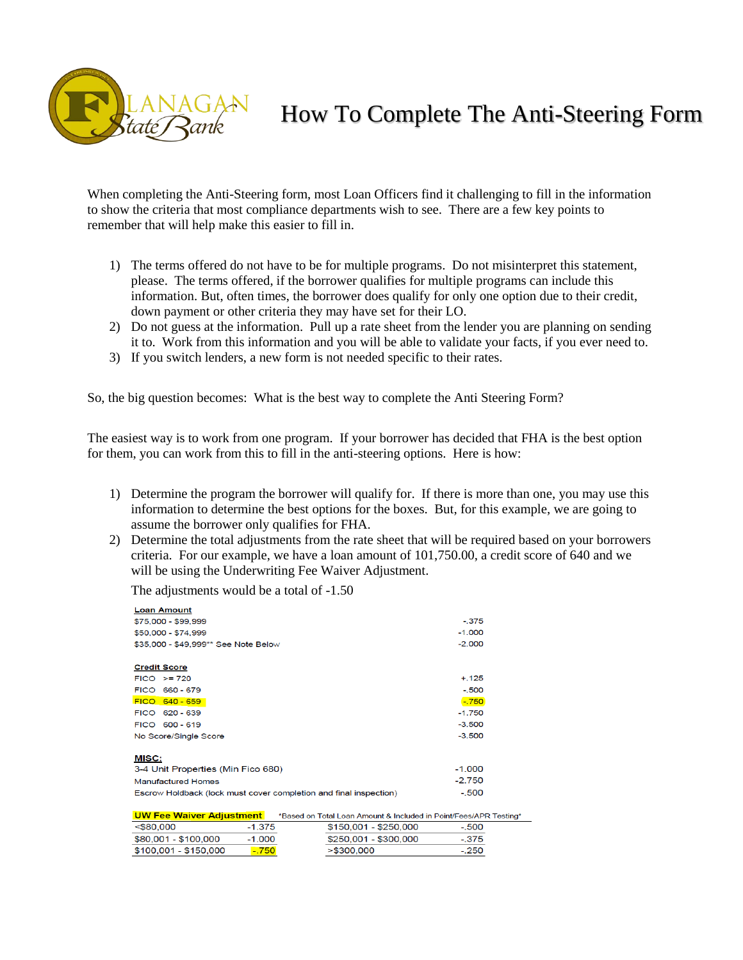

## How To Complete The Anti-Steering Form

Testing\*

 $-.500$ 

 $-0.375$ 

 $-.250$ 

When completing the Anti-Steering form, most Loan Officers find it challenging to fill in the information to show the criteria that most compliance departments wish to see. There are a few key points to remember that will help make this easier to fill in.

- 1) The terms offered do not have to be for multiple programs. Do not misinterpret this statement, please. The terms offered, if the borrower qualifies for multiple programs can include this information. But, often times, the borrower does qualify for only one option due to their credit, down payment or other criteria they may have set for their LO.
- 2) Do not guess at the information. Pull up a rate sheet from the lender you are planning on sending it to. Work from this information and you will be able to validate your facts, if you ever need to.
- 3) If you switch lenders, a new form is not needed specific to their rates.

So, the big question becomes: What is the best way to complete the Anti Steering Form?

The easiest way is to work from one program. If your borrower has decided that FHA is the best option for them, you can work from this to fill in the anti-steering options. Here is how:

- 1) Determine the program the borrower will qualify for. If there is more than one, you may use this information to determine the best options for the boxes. But, for this example, we are going to assume the borrower only qualifies for FHA.
- 2) Determine the total adjustments from the rate sheet that will be required based on your borrowers criteria. For our example, we have a loan amount of 101,750.00, a credit score of 640 and we will be using the Underwriting Fee Waiver Adjustment.

\$150,001 - \$250,000

\$250,001 - \$300,000

 $> $300,000$ 

The adjustments would be a total of -1.50

 $-1.375$ 

 $-1.000$ 

 $-750$ 

 $580,000$ 

\$80,001 - \$100,000

\$100,001 - \$150,000

| <b>Loan Amount</b>                                                                          |          |
|---------------------------------------------------------------------------------------------|----------|
| \$75,000 - \$99,999                                                                         | $-.375$  |
| \$50,000 - \$74,999                                                                         | $-1.000$ |
| \$35,000 - \$49,999** See Note Below                                                        | $-2.000$ |
| <b>Credit Score</b>                                                                         |          |
| $FICO > = 720$                                                                              | $+.125$  |
| FICO 660 - 679                                                                              | $-.500$  |
| FICO 640 - 659                                                                              | $-750$   |
| FICO 620 - 639                                                                              | $-1.750$ |
| FICO 600-619                                                                                | $-3.500$ |
| No Score/Single Score                                                                       | $-3.500$ |
| <b>MISC:</b>                                                                                |          |
| 3-4 Unit Properties (Min Fico 680)                                                          | $-1.000$ |
| <b>Manufactured Homes</b>                                                                   | $-2.750$ |
| Escrow Holdback (lock must cover completion and final inspection)                           | $-.500$  |
| <b>UW Fee Waiver Adjustment</b><br>*Based on Total Loan Amount & Included in Point/Fees/APR |          |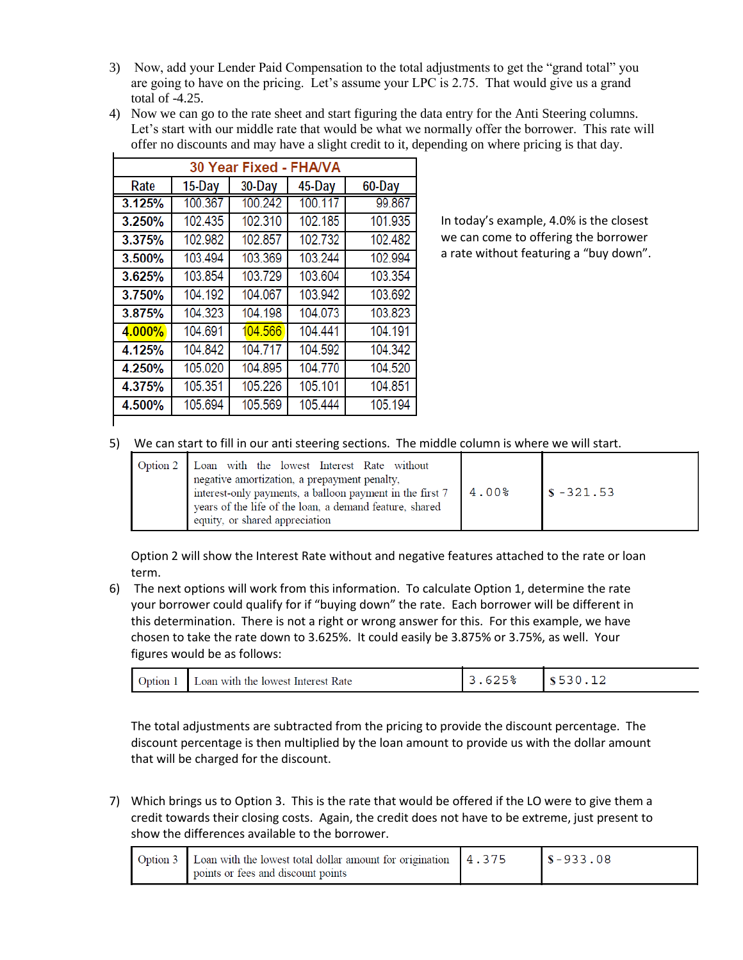- 3) Now, add your Lender Paid Compensation to the total adjustments to get the "grand total" you are going to have on the pricing. Let's assume your LPC is 2.75. That would give us a grand total of -4.25.
- 4) Now we can go to the rate sheet and start figuring the data entry for the Anti Steering columns. Let's start with our middle rate that would be what we normally offer the borrower. This rate will offer no discounts and may have a slight credit to it, depending on where pricing is that day.

| <b>FHA/VA</b><br>30 Year Fixed - |         |         |         |         |
|----------------------------------|---------|---------|---------|---------|
| Rate                             | 15-Day  | 30-Day  | 45-Day  | 60-Day  |
| 3.125%                           | 100.367 | 100.242 | 100.117 | 99.867  |
| 3.250%                           | 102.435 | 102.310 | 102.185 | 101.935 |
| 3.375%                           | 102.982 | 102.857 | 102.732 | 102.482 |
| 3.500%                           | 103.494 | 103.369 | 103.244 | 102.994 |
| 3.625%                           | 103.854 | 103.729 | 103.604 | 103.354 |
| 3.750%                           | 104.192 | 104.067 | 103.942 | 103.692 |
| 3.875%                           | 104.323 | 104.198 | 104.073 | 103.823 |
| 4.000%                           | 104.691 | 104.566 | 104.441 | 104.191 |
| 4.125%                           | 104.842 | 104.717 | 104.592 | 104.342 |
| 4.250%                           | 105.020 | 104.895 | 104.770 | 104.520 |
| 4.375%                           | 105.351 | 105.226 | 105.101 | 104.851 |
| 4.500%                           | 105.694 | 105.569 | 105.444 | 105.194 |
|                                  |         |         |         |         |

In today's example, 4.0% is the closest we can come to offering the borrower a rate without featuring a "buy down".

5) We can start to fill in our anti steering sections. The middle column is where we will start.

|  | Option 2 Loan with the lowest Interest Rate without<br>negative amortization, a prepayment penalty,<br>interest-only payments, a balloon payment in the first 7<br>years of the life of the loan, a demand feature, shared<br>equity, or shared appreciation | $4.00\%$ | $\sqrt{s} - 321.53$ |
|--|--------------------------------------------------------------------------------------------------------------------------------------------------------------------------------------------------------------------------------------------------------------|----------|---------------------|
|--|--------------------------------------------------------------------------------------------------------------------------------------------------------------------------------------------------------------------------------------------------------------|----------|---------------------|

Option 2 will show the Interest Rate without and negative features attached to the rate or loan term.

6) The next options will work from this information. To calculate Option 1, determine the rate your borrower could qualify for if "buying down" the rate. Each borrower will be different in this determination. There is not a right or wrong answer for this. For this example, we have chosen to take the rate down to 3.625%. It could easily be 3.875% or 3.75%, as well. Your figures would be as follows:

| Option 1<br>Loan with the lowest Interest Rate |  |  |
|------------------------------------------------|--|--|
|------------------------------------------------|--|--|

The total adjustments are subtracted from the pricing to provide the discount percentage. The discount percentage is then multiplied by the loan amount to provide us with the dollar amount that will be charged for the discount.

7) Which brings us to Option 3. This is the rate that would be offered if the LO were to give them a credit towards their closing costs. Again, the credit does not have to be extreme, just present to show the differences available to the borrower.

| Option 3   Loan with the lowest total dollar amount for origination | 4.375 | $\sqrt{5} - 933.08$ |
|---------------------------------------------------------------------|-------|---------------------|
| points or fees and discount points                                  |       |                     |